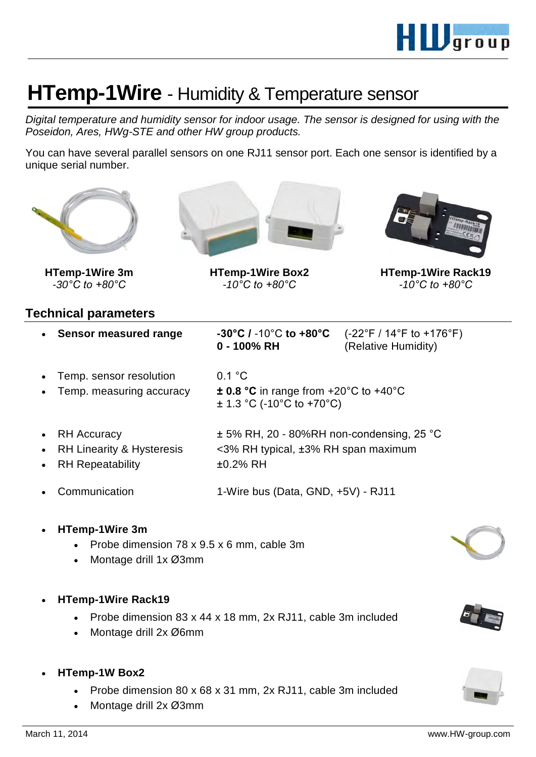

# **HTemp-1Wire** - Humidity & Temperature sensor

*Digital temperature and humidity sensor for indoor usage. The sensor is designed for using with the Poseidon, Ares, HWg-STE and other HW group products.* 

You can have several parallel sensors on one RJ11 sensor port. Each one sensor is identified by a unique serial number.





**HTemp-1Wire 3m** *-30°C to +80°C*

**HTemp-1Wire Box2** *-10°C to +80°C*



**HTemp-1Wire Rack19** *-10°C to +80°C*

### **Technical parameters**

|           | • Sensor measured range                                                 | $-30^{\circ}$ C / $-10^{\circ}$ C to $+80^{\circ}$ C<br>$0 - 100\%$ RH                           | $(-22^{\circ}F / 14^{\circ}F$ to $+176^{\circ}F)$<br>(Relative Humidity) |
|-----------|-------------------------------------------------------------------------|--------------------------------------------------------------------------------------------------|--------------------------------------------------------------------------|
| $\bullet$ | • Temp. sensor resolution<br>Temp. measuring accuracy                   | 0.1 °C<br>$\pm$ 0.8 °C in range from +20°C to +40°C<br>$\pm$ 1.3 °C (-10°C to +70°C)             |                                                                          |
| $\bullet$ | • RH Accuracy<br>• RH Linearity & Hysteresis<br><b>RH Repeatability</b> | $\pm$ 5% RH, 20 - 80%RH non-condensing, 25 °C<br><3% RH typical, ±3% RH span maximum<br>±0.2% RH |                                                                          |
| $\bullet$ | Communication                                                           | 1-Wire bus (Data, GND, +5V) - RJ11                                                               |                                                                          |

### **HTemp-1Wire 3m**

- Probe dimension  $78 \times 9.5 \times 6$  mm, cable 3m
- Montage drill 1x Ø3mm

### **HTemp-1Wire Rack19**

- Probe dimension 83 x 44 x 18 mm, 2x RJ11, cable 3m included
- Montage drill 2x Ø6mm

### **HTemp-1W Box2**

- Probe dimension 80 x 68 x 31 mm, 2x RJ11, cable 3m included
- Montage drill 2x Ø3mm





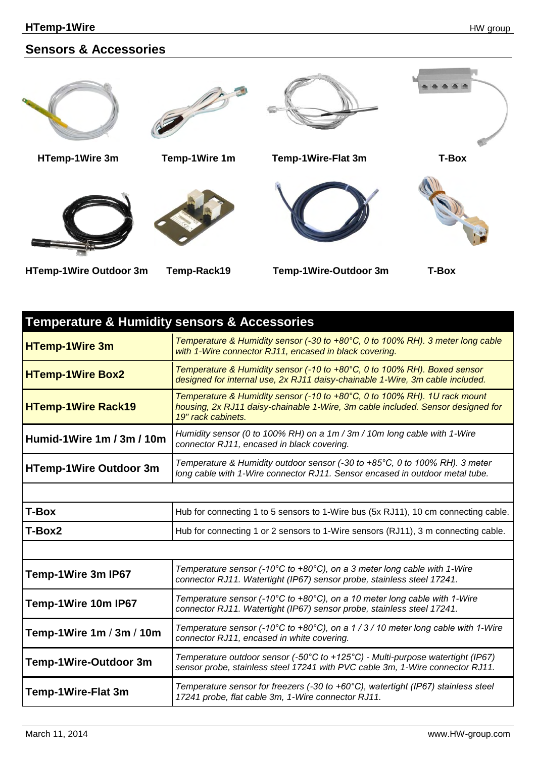### **Sensors & Accessories**



| <b>Temperature &amp; Humidity sensors &amp; Accessories</b> |                                                                                                                                                                                    |  |  |  |  |  |
|-------------------------------------------------------------|------------------------------------------------------------------------------------------------------------------------------------------------------------------------------------|--|--|--|--|--|
| <b>HTemp-1Wire 3m</b>                                       | Temperature & Humidity sensor (-30 to +80°C, 0 to 100% RH). 3 meter long cable<br>with 1-Wire connector RJ11, encased in black covering.                                           |  |  |  |  |  |
| <b>HTemp-1Wire Box2</b>                                     | Temperature & Humidity sensor (-10 to +80°C, 0 to 100% RH). Boxed sensor<br>designed for internal use, 2x RJ11 daisy-chainable 1-Wire, 3m cable included.                          |  |  |  |  |  |
| <b>HTemp-1Wire Rack19</b>                                   | Temperature & Humidity sensor (-10 to +80°C, 0 to 100% RH). 1U rack mount<br>housing, 2x RJ11 daisy-chainable 1-Wire, 3m cable included. Sensor designed for<br>19" rack cabinets. |  |  |  |  |  |
| Humid-1Wire 1m / 3m / 10m                                   | Humidity sensor (0 to 100% RH) on a 1m / 3m / 10m long cable with 1-Wire<br>connector RJ11, encased in black covering.                                                             |  |  |  |  |  |
| <b>HTemp-1Wire Outdoor 3m</b>                               | Temperature & Humidity outdoor sensor (-30 to +85°C, 0 to 100% RH). 3 meter<br>long cable with 1-Wire connector RJ11. Sensor encased in outdoor metal tube.                        |  |  |  |  |  |
|                                                             |                                                                                                                                                                                    |  |  |  |  |  |
| <b>T-Box</b>                                                | Hub for connecting 1 to 5 sensors to 1-Wire bus (5x RJ11), 10 cm connecting cable.                                                                                                 |  |  |  |  |  |
| T-Box2                                                      | Hub for connecting 1 or 2 sensors to 1-Wire sensors (RJ11), 3 m connecting cable.                                                                                                  |  |  |  |  |  |
|                                                             |                                                                                                                                                                                    |  |  |  |  |  |
| Temp-1Wire 3m IP67                                          | Temperature sensor (-10°C to +80°C), on a 3 meter long cable with 1-Wire<br>connector RJ11. Watertight (IP67) sensor probe, stainless steel 17241.                                 |  |  |  |  |  |
| Temp-1Wire 10m IP67                                         | Temperature sensor (-10°C to +80°C), on a 10 meter long cable with 1-Wire<br>connector RJ11. Watertight (IP67) sensor probe, stainless steel 17241.                                |  |  |  |  |  |
| Temp-1Wire 1m / 3m / 10m                                    | Temperature sensor (-10°C to +80°C), on a 1 / 3 / 10 meter long cable with 1-Wire<br>connector RJ11, encased in white covering.                                                    |  |  |  |  |  |
| <b>Temp-1Wire-Outdoor 3m</b>                                | Temperature outdoor sensor (-50°C to +125°C) - Multi-purpose watertight (IP67)<br>sensor probe, stainless steel 17241 with PVC cable 3m, 1-Wire connector RJ11.                    |  |  |  |  |  |
| <b>Temp-1Wire-Flat 3m</b>                                   | Temperature sensor for freezers (-30 to +60°C), watertight (IP67) stainless steel<br>17241 probe, flat cable 3m, 1-Wire connector RJ11.                                            |  |  |  |  |  |